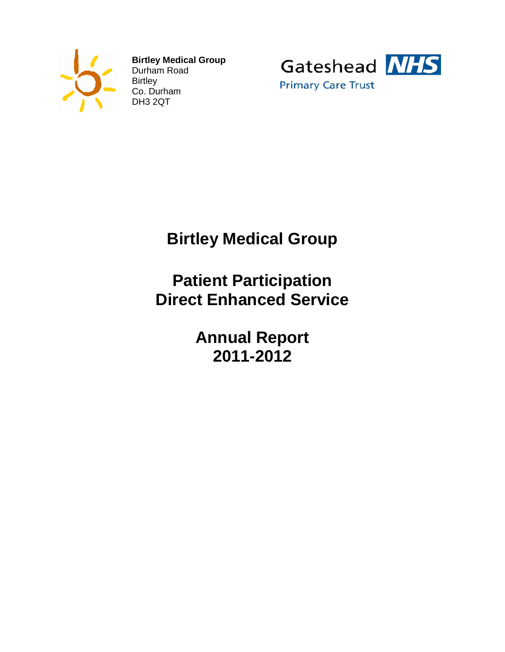

**Birtley Medical Group** Durham Road **Birtley** Co. Durham DH3 2QT



# **Birtley Medical Group**

# **Patient Participation Direct Enhanced Service**

**Annual Report 2011-2012**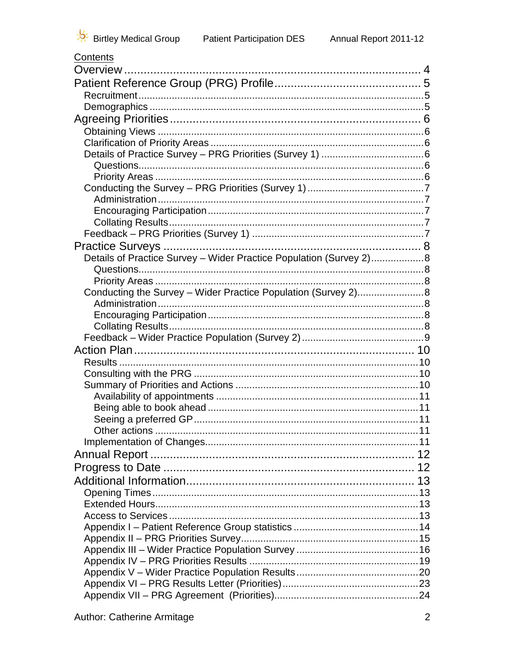| ,,,,,,,,                                                           |  |
|--------------------------------------------------------------------|--|
|                                                                    |  |
|                                                                    |  |
|                                                                    |  |
|                                                                    |  |
|                                                                    |  |
|                                                                    |  |
|                                                                    |  |
|                                                                    |  |
|                                                                    |  |
|                                                                    |  |
|                                                                    |  |
|                                                                    |  |
|                                                                    |  |
|                                                                    |  |
|                                                                    |  |
|                                                                    |  |
| Details of Practice Survey - Wider Practice Population (Survey 2)8 |  |
|                                                                    |  |
|                                                                    |  |
| Conducting the Survey - Wider Practice Population (Survey 2)8      |  |
|                                                                    |  |
|                                                                    |  |
|                                                                    |  |
|                                                                    |  |
|                                                                    |  |
|                                                                    |  |
|                                                                    |  |
|                                                                    |  |
|                                                                    |  |
|                                                                    |  |
|                                                                    |  |
|                                                                    |  |
|                                                                    |  |
|                                                                    |  |
|                                                                    |  |
|                                                                    |  |
|                                                                    |  |
|                                                                    |  |
|                                                                    |  |
|                                                                    |  |
|                                                                    |  |
|                                                                    |  |
|                                                                    |  |
|                                                                    |  |
|                                                                    |  |
|                                                                    |  |
|                                                                    |  |
|                                                                    |  |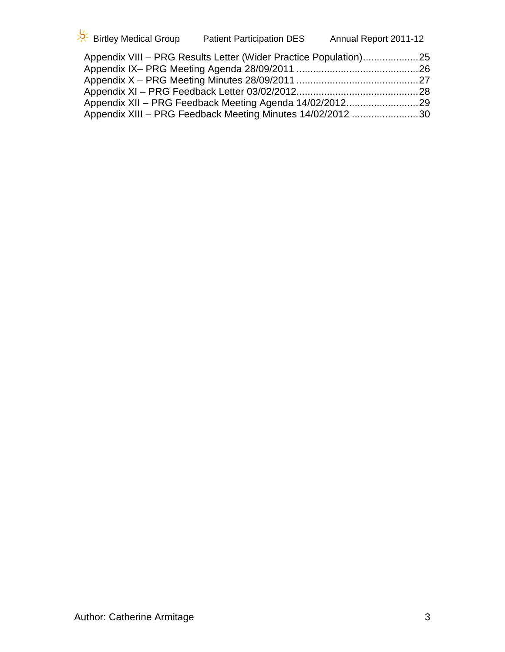| Birtley Medical Group | <b>Patient Participation DES</b>                                 | Annual Report 2011-12 |
|-----------------------|------------------------------------------------------------------|-----------------------|
|                       | Appendix VIII - PRG Results Letter (Wider Practice Population)25 |                       |

| Appendix XIII - PRG Feedback Meeting Minutes 14/02/2012 30 |  |
|------------------------------------------------------------|--|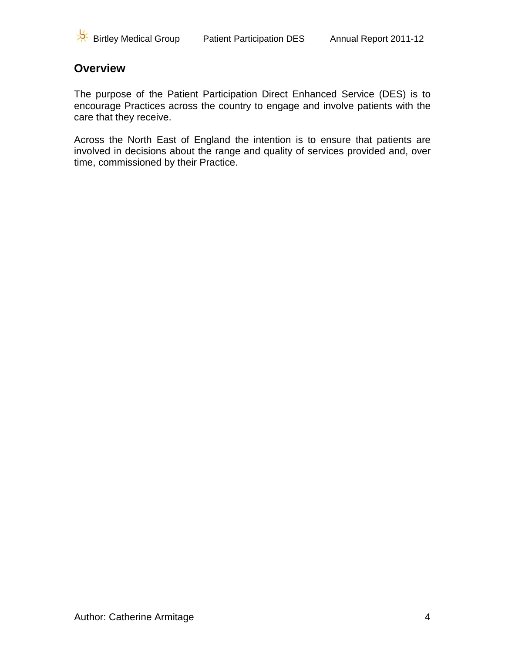

### <span id="page-3-0"></span>**Overview**

The purpose of the Patient Participation Direct Enhanced Service (DES) is to encourage Practices across the country to engage and involve patients with the care that they receive.

Across the North East of England the intention is to ensure that patients are involved in decisions about the range and quality of services provided and, over time, commissioned by their Practice.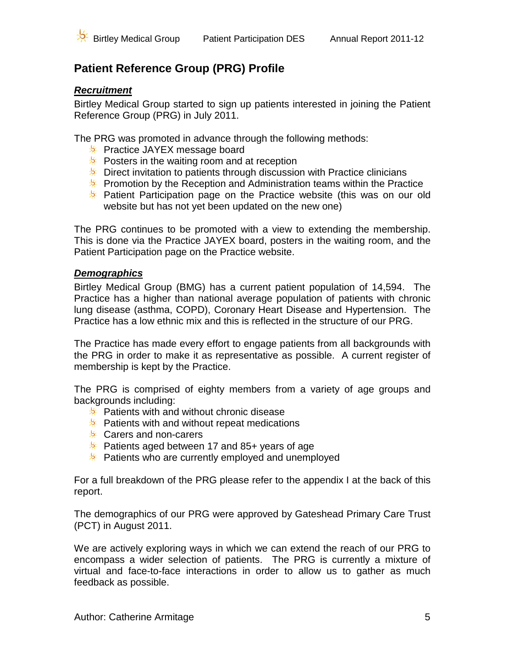# <span id="page-4-0"></span>**Patient Reference Group (PRG) Profile**

### <span id="page-4-1"></span>*Recruitment*

Birtley Medical Group started to sign up patients interested in joining the Patient Reference Group (PRG) in July 2011.

The PRG was promoted in advance through the following methods:

- **EX** Practice JAYEX message board
- **EX** Posters in the waiting room and at reception
- $*$  Direct invitation to patients through discussion with Practice clinicians
- **EX** Promotion by the Reception and Administration teams within the Practice
- **EX** Patient Participation page on the Practice website (this was on our old website but has not yet been updated on the new one)

The PRG continues to be promoted with a view to extending the membership. This is done via the Practice JAYEX board, posters in the waiting room, and the Patient Participation page on the Practice website.

### <span id="page-4-2"></span>*Demographics*

Birtley Medical Group (BMG) has a current patient population of 14,594. The Practice has a higher than national average population of patients with chronic lung disease (asthma, COPD), Coronary Heart Disease and Hypertension. The Practice has a low ethnic mix and this is reflected in the structure of our PRG.

The Practice has made every effort to engage patients from all backgrounds with the PRG in order to make it as representative as possible. A current register of membership is kept by the Practice.

The PRG is comprised of eighty members from a variety of age groups and backgrounds including:

- $*$  Patients with and without chronic disease
- $\frac{1}{2}$  Patients with and without repeat medications
- **EX** Carers and non-carers
- **EX** Patients aged between 17 and 85+ years of age
- $*$  Patients who are currently employed and unemployed

For a full breakdown of the PRG please refer to the appendix I at the back of this report.

The demographics of our PRG were approved by Gateshead Primary Care Trust (PCT) in August 2011.

We are actively exploring ways in which we can extend the reach of our PRG to encompass a wider selection of patients. The PRG is currently a mixture of virtual and face-to-face interactions in order to allow us to gather as much feedback as possible.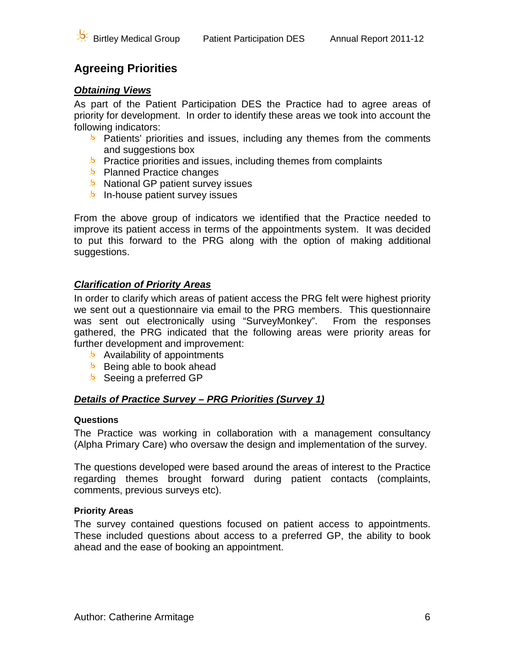# <span id="page-5-0"></span>**Agreeing Priorities**

### <span id="page-5-1"></span>*Obtaining Views*

As part of the Patient Participation DES the Practice had to agree areas of priority for development. In order to identify these areas we took into account the following indicators:

- **EX** Patients' priorities and issues, including any themes from the comments and suggestions box
- **EX** Practice priorities and issues, including themes from complaints
- $*$  Planned Practice changes
- $*$  National GP patient survey issues
- $\frac{1}{2}$  In-house patient survey issues

From the above group of indicators we identified that the Practice needed to improve its patient access in terms of the appointments system. It was decided to put this forward to the PRG along with the option of making additional suggestions.

### <span id="page-5-2"></span>*Clarification of Priority Areas*

In order to clarify which areas of patient access the PRG felt were highest priority we sent out a questionnaire via email to the PRG members. This questionnaire was sent out electronically using "SurveyMonkey". From the responses gathered, the PRG indicated that the following areas were priority areas for further development and improvement:

- $\frac{1}{2}$  Availability of appointments
- $\frac{1}{2}$  Being able to book ahead
- $\frac{1}{2}$  Seeing a preferred GP

### <span id="page-5-3"></span>*Details of Practice Survey – PRG Priorities (Survey 1)*

### <span id="page-5-4"></span>**Questions**

The Practice was working in collaboration with a management consultancy (Alpha Primary Care) who oversaw the design and implementation of the survey.

The questions developed were based around the areas of interest to the Practice regarding themes brought forward during patient contacts (complaints, comments, previous surveys etc).

### <span id="page-5-5"></span>**Priority Areas**

The survey contained questions focused on patient access to appointments. These included questions about access to a preferred GP, the ability to book ahead and the ease of booking an appointment.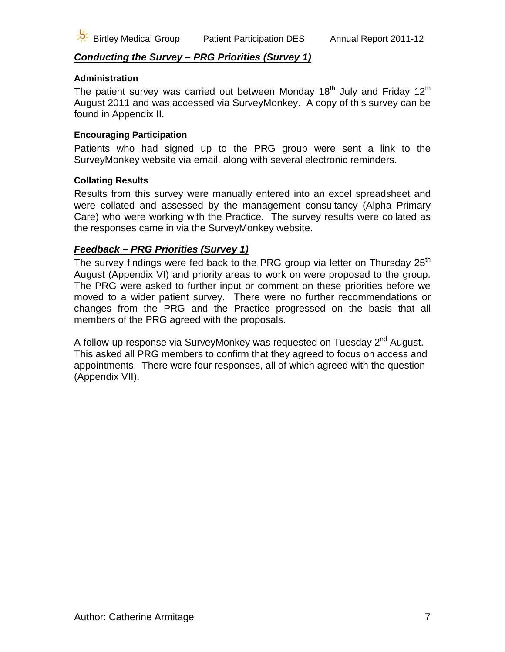### <span id="page-6-0"></span>*Conducting the Survey – PRG Priorities (Survey 1)*

#### <span id="page-6-1"></span>**Administration**

The patient survey was carried out between Monday  $18<sup>th</sup>$  July and Friday  $12<sup>th</sup>$ August 2011 and was accessed via SurveyMonkey. A copy of this survey can be found in Appendix II.

#### <span id="page-6-2"></span>**Encouraging Participation**

Patients who had signed up to the PRG group were sent a link to the SurveyMonkey website via email, along with several electronic reminders.

#### <span id="page-6-3"></span>**Collating Results**

Results from this survey were manually entered into an excel spreadsheet and were collated and assessed by the management consultancy (Alpha Primary Care) who were working with the Practice. The survey results were collated as the responses came in via the SurveyMonkey website.

### <span id="page-6-4"></span>*Feedback – PRG Priorities (Survey 1)*

The survey findings were fed back to the PRG group via letter on Thursday 25<sup>th</sup> August (Appendix VI) and priority areas to work on were proposed to the group. The PRG were asked to further input or comment on these priorities before we moved to a wider patient survey. There were no further recommendations or changes from the PRG and the Practice progressed on the basis that all members of the PRG agreed with the proposals.

A follow-up response via SurveyMonkey was requested on Tuesday  $2^{nd}$  August. This asked all PRG members to confirm that they agreed to focus on access and appointments. There were four responses, all of which agreed with the question (Appendix VII).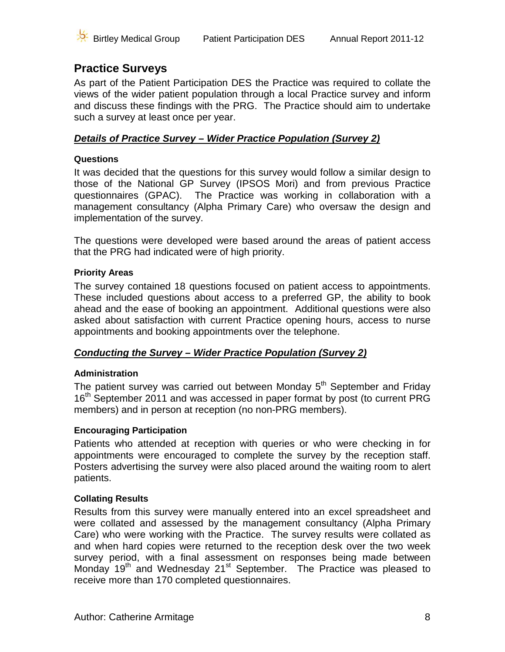

### <span id="page-7-0"></span>**Practice Surveys**

As part of the Patient Participation DES the Practice was required to collate the views of the wider patient population through a local Practice survey and inform and discuss these findings with the PRG. The Practice should aim to undertake such a survey at least once per year.

### <span id="page-7-1"></span>*Details of Practice Survey – Wider Practice Population (Survey 2)*

### <span id="page-7-2"></span>**Questions**

It was decided that the questions for this survey would follow a similar design to those of the National GP Survey (IPSOS Mori) and from previous Practice questionnaires (GPAC). The Practice was working in collaboration with a management consultancy (Alpha Primary Care) who oversaw the design and implementation of the survey.

The questions were developed were based around the areas of patient access that the PRG had indicated were of high priority.

### <span id="page-7-3"></span>**Priority Areas**

The survey contained 18 questions focused on patient access to appointments. These included questions about access to a preferred GP, the ability to book ahead and the ease of booking an appointment. Additional questions were also asked about satisfaction with current Practice opening hours, access to nurse appointments and booking appointments over the telephone.

### <span id="page-7-4"></span>*Conducting the Survey – Wider Practice Population (Survey 2)*

### <span id="page-7-5"></span>**Administration**

The patient survey was carried out between Monday  $5<sup>th</sup>$  September and Friday 16<sup>th</sup> September 2011 and was accessed in paper format by post (to current PRG members) and in person at reception (no non-PRG members).

### <span id="page-7-6"></span>**Encouraging Participation**

Patients who attended at reception with queries or who were checking in for appointments were encouraged to complete the survey by the reception staff. Posters advertising the survey were also placed around the waiting room to alert patients.

### <span id="page-7-7"></span>**Collating Results**

Results from this survey were manually entered into an excel spreadsheet and were collated and assessed by the management consultancy (Alpha Primary Care) who were working with the Practice. The survey results were collated as and when hard copies were returned to the reception desk over the two week survey period, with a final assessment on responses being made between Monday 19<sup>th</sup> and Wednesday 21<sup>st</sup> September. The Practice was pleased to receive more than 170 completed questionnaires.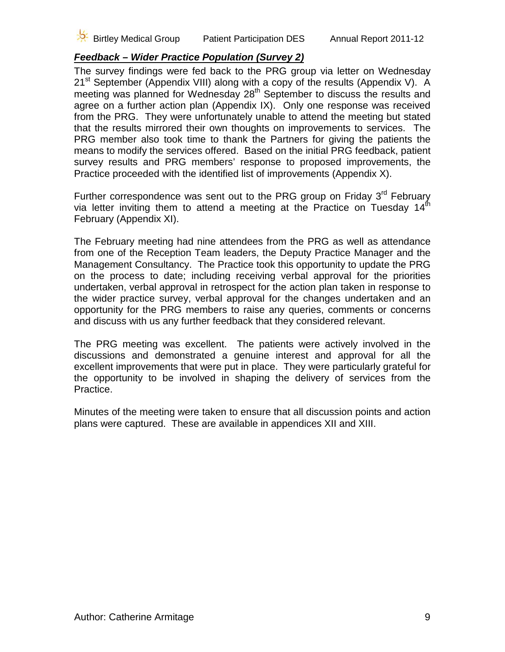### *Feedback – Wider Practice Population (Survey 2)*

<span id="page-8-0"></span>The survey findings were fed back to the PRG group via letter on Wednesday  $21<sup>st</sup>$  September (Appendix VIII) along with a copy of the results (Appendix V). A meeting was planned for Wednesday 28<sup>th</sup> September to discuss the results and agree on a further action plan (Appendix IX). Only one response was received from the PRG. They were unfortunately unable to attend the meeting but stated that the results mirrored their own thoughts on improvements to services. The PRG member also took time to thank the Partners for giving the patients the means to modify the services offered. Based on the initial PRG feedback, patient survey results and PRG members' response to proposed improvements, the Practice proceeded with the identified list of improvements (Appendix X).

Further correspondence was sent out to the PRG group on Friday 3<sup>rd</sup> February via letter inviting them to attend a meeting at the Practice on Tuesday  $14<sup>th</sup>$ February (Appendix XI).

The February meeting had nine attendees from the PRG as well as attendance from one of the Reception Team leaders, the Deputy Practice Manager and the Management Consultancy. The Practice took this opportunity to update the PRG on the process to date; including receiving verbal approval for the priorities undertaken, verbal approval in retrospect for the action plan taken in response to the wider practice survey, verbal approval for the changes undertaken and an opportunity for the PRG members to raise any queries, comments or concerns and discuss with us any further feedback that they considered relevant.

The PRG meeting was excellent. The patients were actively involved in the discussions and demonstrated a genuine interest and approval for all the excellent improvements that were put in place. They were particularly grateful for the opportunity to be involved in shaping the delivery of services from the Practice.

Minutes of the meeting were taken to ensure that all discussion points and action plans were captured. These are available in appendices XII and XIII.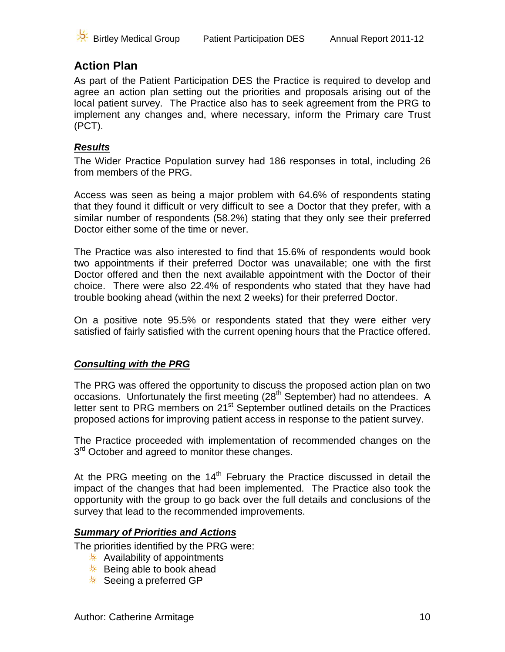

## <span id="page-9-0"></span>**Action Plan**

As part of the Patient Participation DES the Practice is required to develop and agree an action plan setting out the priorities and proposals arising out of the local patient survey. The Practice also has to seek agreement from the PRG to implement any changes and, where necessary, inform the Primary care Trust (PCT).

### <span id="page-9-1"></span>*Results*

The Wider Practice Population survey had 186 responses in total, including 26 from members of the PRG.

Access was seen as being a major problem with 64.6% of respondents stating that they found it difficult or very difficult to see a Doctor that they prefer, with a similar number of respondents (58.2%) stating that they only see their preferred Doctor either some of the time or never.

The Practice was also interested to find that 15.6% of respondents would book two appointments if their preferred Doctor was unavailable; one with the first Doctor offered and then the next available appointment with the Doctor of their choice. There were also 22.4% of respondents who stated that they have had trouble booking ahead (within the next 2 weeks) for their preferred Doctor.

On a positive note 95.5% or respondents stated that they were either very satisfied of fairly satisfied with the current opening hours that the Practice offered.

### <span id="page-9-2"></span>*Consulting with the PRG*

The PRG was offered the opportunity to discuss the proposed action plan on two occasions. Unfortunately the first meeting (28<sup>th</sup> September) had no attendees. A letter sent to PRG members on 21<sup>st</sup> September outlined details on the Practices proposed actions for improving patient access in response to the patient survey.

The Practice proceeded with implementation of recommended changes on the 3<sup>rd</sup> October and agreed to monitor these changes.

At the PRG meeting on the  $14<sup>th</sup>$  February the Practice discussed in detail the impact of the changes that had been implemented. The Practice also took the opportunity with the group to go back over the full details and conclusions of the survey that lead to the recommended improvements.

### <span id="page-9-3"></span>*Summary of Priorities and Actions*

The priorities identified by the PRG were:

- $\frac{1}{2}$  Availability of appointments
- $\frac{1}{2}$  Being able to book ahead
- $\frac{1}{2}$  Seeing a preferred GP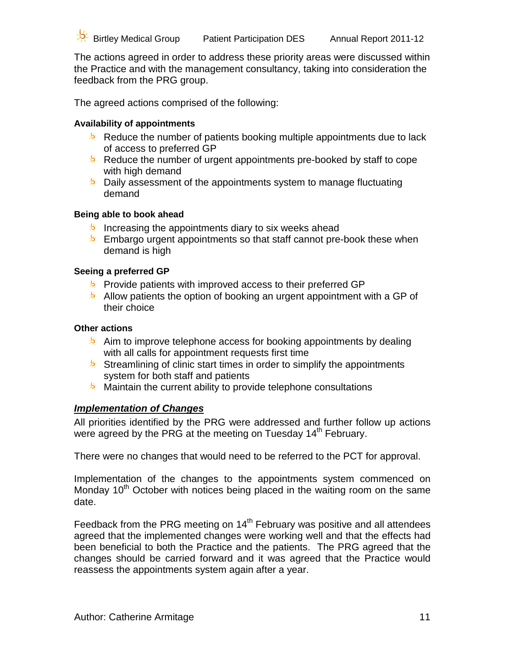The actions agreed in order to address these priority areas were discussed within the Practice and with the management consultancy, taking into consideration the feedback from the PRG group.

The agreed actions comprised of the following:

### <span id="page-10-0"></span>**Availability of appointments**

- Reduce the number of patients booking multiple appointments due to lack of access to preferred GP
- $*$  Reduce the number of urgent appointments pre-booked by staff to cope with high demand
- $*$  Daily assessment of the appointments system to manage fluctuating demand

### <span id="page-10-1"></span>**Being able to book ahead**

- Increasing the appointments diary to six weeks ahead
- $*$  Embargo urgent appointments so that staff cannot pre-book these when demand is high

### <span id="page-10-2"></span>**Seeing a preferred GP**

- **EX** Provide patients with improved access to their preferred GP
- Allow patients the option of booking an urgent appointment with a GP of their choice

### <span id="page-10-3"></span>**Other actions**

- $*$  Aim to improve telephone access for booking appointments by dealing with all calls for appointment requests first time
- Streamlining of clinic start times in order to simplify the appointments system for both staff and patients
- **Maintain the current ability to provide telephone consultations**

### <span id="page-10-4"></span>*Implementation of Changes*

All priorities identified by the PRG were addressed and further follow up actions were agreed by the PRG at the meeting on Tuesday 14<sup>th</sup> February.

There were no changes that would need to be referred to the PCT for approval.

Implementation of the changes to the appointments system commenced on Monday  $10<sup>th</sup>$  October with notices being placed in the waiting room on the same date.

Feedback from the PRG meeting on 14<sup>th</sup> February was positive and all attendees agreed that the implemented changes were working well and that the effects had been beneficial to both the Practice and the patients. The PRG agreed that the changes should be carried forward and it was agreed that the Practice would reassess the appointments system again after a year.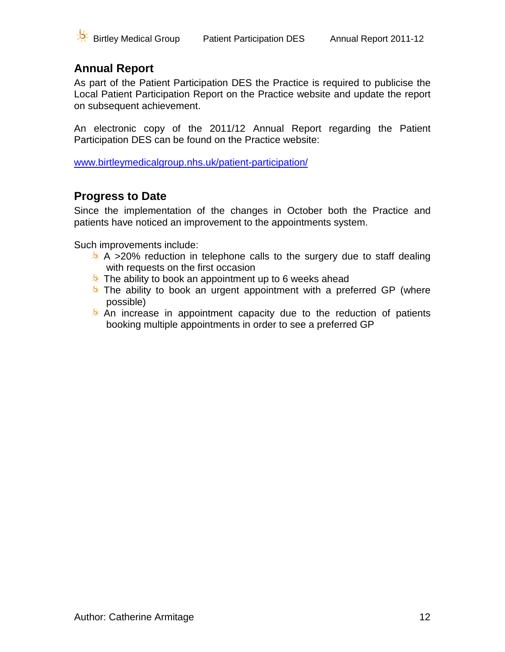

# <span id="page-11-0"></span>**Annual Report**

As part of the Patient Participation DES the Practice is required to publicise the Local Patient Participation Report on the Practice website and update the report on subsequent achievement.

An electronic copy of the 2011/12 Annual Report regarding the Patient Participation DES can be found on the Practice website:

[www.birtleymedicalgroup.nhs.uk/patient-participation/](http://www.birtleymedicalgroup.nhs.uk/patient-participation/)

### <span id="page-11-1"></span>**Progress to Date**

Since the implementation of the changes in October both the Practice and patients have noticed an improvement to the appointments system.

Such improvements include:

- $*$  A >20% reduction in telephone calls to the surgery due to staff dealing with requests on the first occasion
- $*$  The ability to book an appointment up to 6 weeks ahead
- $*$  The ability to book an urgent appointment with a preferred GP (where possible)
- $*$  An increase in appointment capacity due to the reduction of patients booking multiple appointments in order to see a preferred GP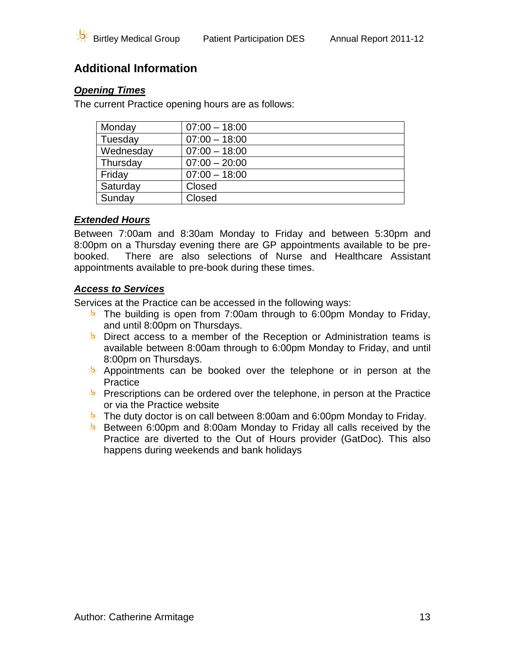# <span id="page-12-0"></span>**Additional Information**

### <span id="page-12-1"></span>*Opening Times*

The current Practice opening hours are as follows:

| Monday    | $07:00 - 18:00$ |
|-----------|-----------------|
| Tuesday   | $07:00 - 18:00$ |
| Wednesday | $07:00 - 18:00$ |
| Thursday  | $07:00 - 20:00$ |
| Friday    | $07:00 - 18:00$ |
| Saturday  | Closed          |
| Sunday    | Closed          |

### <span id="page-12-2"></span>*Extended Hours*

Between 7:00am and 8:30am Monday to Friday and between 5:30pm and 8:00pm on a Thursday evening there are GP appointments available to be prebooked. There are also selections of Nurse and Healthcare Assistant appointments available to pre-book during these times.

### <span id="page-12-3"></span>*Access to Services*

Services at the Practice can be accessed in the following ways:

- $*$  The building is open from 7:00am through to 6:00pm Monday to Friday, and until 8:00pm on Thursdays.
- $*$  Direct access to a member of the Reception or Administration teams is available between 8:00am through to 6:00pm Monday to Friday, and until 8:00pm on Thursdays.
- $*$  Appointments can be booked over the telephone or in person at the **Practice**
- **EX** Prescriptions can be ordered over the telephone, in person at the Practice or via the Practice website
- $*$  The duty doctor is on call between 8:00am and 6:00pm Monday to Friday.
- $*$  Between 6:00pm and 8:00am Monday to Friday all calls received by the Practice are diverted to the Out of Hours provider (GatDoc). This also happens during weekends and bank holidays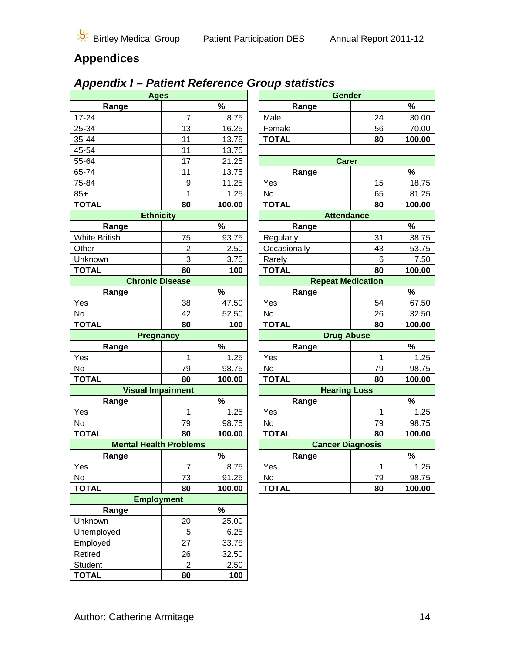# **Appendices**

# <span id="page-13-0"></span>*Appendix I – Patient Reference Group statistics*

| <b>Ages</b>                   |                |        | Gender       |                          |        |
|-------------------------------|----------------|--------|--------------|--------------------------|--------|
| Range                         |                | $\%$   | Range        |                          | $\%$   |
| $17 - 24$                     | $\overline{7}$ | 8.75   | Male         | 24                       | 30.00  |
| 25-34                         | 13             | 16.25  | Female       | 56                       | 70.00  |
| 35-44                         | 11             | 13.75  | <b>TOTAL</b> | 80                       | 100.00 |
| 45-54                         | 11             | 13.75  |              |                          |        |
| 55-64                         | 17             | 21.25  |              | <b>Carer</b>             |        |
| 65-74                         | 11             | 13.75  | Range        |                          | $\%$   |
| 75-84                         | 9              | 11.25  | Yes          | 15                       | 18.75  |
| $85+$                         | $\mathbf 1$    | 1.25   | No           | 65                       | 81.25  |
| <b>TOTAL</b>                  | 80             | 100.00 | <b>TOTAL</b> | 80                       | 100.00 |
| <b>Ethnicity</b>              |                |        |              | <b>Attendance</b>        |        |
| Range                         |                | $\%$   | Range        |                          | $\%$   |
| <b>White British</b>          | 75             | 93.75  | Regularly    | 31                       | 38.75  |
| Other                         | $\overline{2}$ | 2.50   | Occasionally | 43                       | 53.75  |
| Unknown                       | 3              | 3.75   | Rarely       | 6                        | 7.50   |
| <b>TOTAL</b>                  | 80             | 100    | <b>TOTAL</b> | 80                       | 100.00 |
| <b>Chronic Disease</b>        |                |        |              | <b>Repeat Medication</b> |        |
| Range                         |                | %      | Range        |                          | $\%$   |
| Yes                           | 38             | 47.50  | Yes          | 54                       | 67.50  |
| No                            | 42             | 52.50  | No           | 26                       | 32.50  |
| <b>TOTAL</b>                  | 80             | 100    | <b>TOTAL</b> | 80                       | 100.00 |
| <b>Pregnancy</b>              |                |        |              | <b>Drug Abuse</b>        |        |
| Range                         |                | %      | Range        |                          | %      |
| Yes                           | 1              | 1.25   | Yes          | 1                        | 1.25   |
| No                            | 79             | 98.75  | No           | 79                       | 98.75  |
| <b>TOTAL</b>                  | 80             | 100.00 | <b>TOTAL</b> | 80                       | 100.00 |
| <b>Visual Impairment</b>      |                |        |              | <b>Hearing Loss</b>      |        |
| Range                         |                | %      | Range        |                          | %      |
| Yes                           | 1              | 1.25   | Yes          | 1                        | 1.25   |
| No                            | 79             | 98.75  | No           | 79                       | 98.75  |
| <b>TOTAL</b>                  | 80             | 100.00 | <b>TOTAL</b> | 80                       | 100.00 |
| <b>Mental Health Problems</b> |                |        |              | <b>Cancer Diagnosis</b>  |        |
| Range                         |                | %      | Range        |                          | %      |
| Yes                           | $\overline{7}$ | 8.75   | Yes          | 1                        | 1.25   |
| No                            | 73             | 91.25  | No           | 79                       | 98.75  |
| <b>TOTAL</b>                  | 80             | 100.00 | <b>TOTAL</b> | 80                       | 100.00 |
| <b>Employment</b>             |                |        |              |                          |        |
| Range                         |                | %      |              |                          |        |
| Unknown                       | 20             | 25.00  |              |                          |        |
| Unemployed                    | 5              | 6.25   |              |                          |        |
| Employed                      | 27             | 33.75  |              |                          |        |
| Retired                       | 26             | 32.50  |              |                          |        |
| Student                       | $\overline{2}$ | 2.50   |              |                          |        |
| <b>TOTAL</b>                  | 80             | 100    |              |                          |        |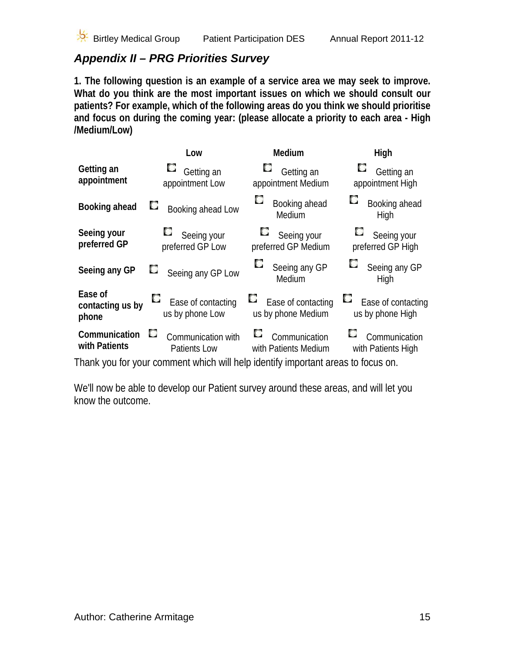

# <span id="page-14-0"></span>*Appendix II – PRG Priorities Survey*

**1. The following question is an example of a service area we may seek to improve. What do you think are the most important issues on which we should consult our patients? For example, which of the following areas do you think we should prioritise and focus on during the coming year: (please allocate a priority to each area - High /Medium/Low)**

|                                      | Low                                                                              | Medium                                         | High                                         |
|--------------------------------------|----------------------------------------------------------------------------------|------------------------------------------------|----------------------------------------------|
| Getting an<br>appointment            | $\Box$ Getting an<br>appointment Low                                             | $\Box$ Getting an<br>appointment Medium        | C<br>Getting an<br>appointment High          |
| Booking ahead                        | Booking ahead Low                                                                | Booking ahead<br>Medium                        | Booking ahead<br>High                        |
| Seeing your<br>preferred GP          | $\Box$ Seeing your<br>preferred GP Low                                           | $\Box$ Seeing your<br>preferred GP Medium      | $\Box$ Seeing your<br>preferred GP High      |
| Seeing any GP                        | Seeing any GP Low                                                                | Seeing any GP<br>Medium                        | Seeing any GP<br>High                        |
| Ease of<br>contacting us by<br>phone | Ease of contacting<br>us by phone Low                                            | L.<br>Ease of contacting<br>us by phone Medium | L.<br>Ease of contacting<br>us by phone High |
| Communication<br>with Patients       | L.<br>Communication with<br>Patients Low                                         | L.<br>Communication<br>with Patients Medium    | L.<br>Communication<br>with Patients High    |
|                                      | Thank you for your comment which will help identify important areas to focus on. |                                                |                                              |

We'll now be able to develop our Patient survey around these areas, and will let you know the outcome.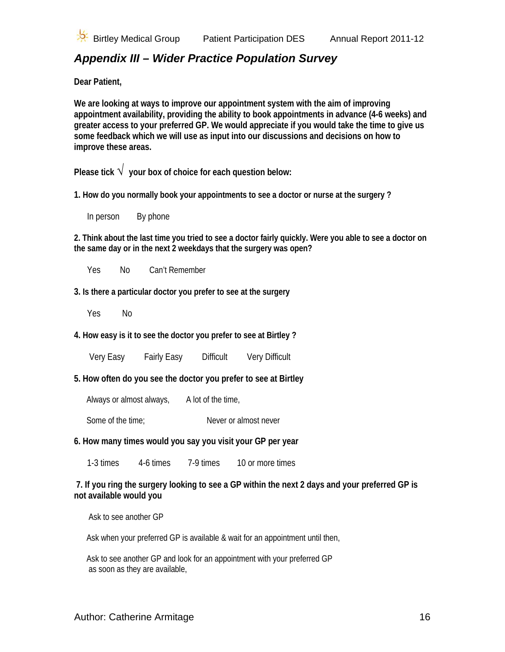

# <span id="page-15-0"></span>*Appendix III – Wider Practice Population Survey*

**Dear Patient,** 

**We are looking at ways to improve our appointment system with the aim of improving appointment availability, providing the ability to book appointments in advance (4-6 weeks) and greater access to your preferred GP. We would appreciate if you would take the time to give us some feedback which we will use as input into our discussions and decisions on how to improve these areas.** 

**Please tick** √ **your box of choice for each question below:** 

**1. How do you normally book your appointments to see a doctor or nurse at the surgery ?**

In person By phone

**2. Think about the last time you tried to see a doctor fairly quickly. Were you able to see a doctor on the same day or in the next 2 weekdays that the surgery was open?** 

Yes No Can't Remember

**3. Is there a particular doctor you prefer to see at the surgery**

Yes No

**4. How easy is it to see the doctor you prefer to see at Birtley ?**

Very Easy Fairly Easy Difficult Very Difficult

**5. How often do you see the doctor you prefer to see at Birtley** 

Always or almost always, A lot of the time,

Some of the time; Never or almost never

#### **6. How many times would you say you visit your GP per year**

1-3 times 4-6 times 7-9 times 10 or more times

#### **7. If you ring the surgery looking to see a GP within the next 2 days and your preferred GP is not available would you**

Ask to see another GP

Ask when your preferred GP is available & wait for an appointment until then,

 Ask to see another GP and look for an appointment with your preferred GP as soon as they are available,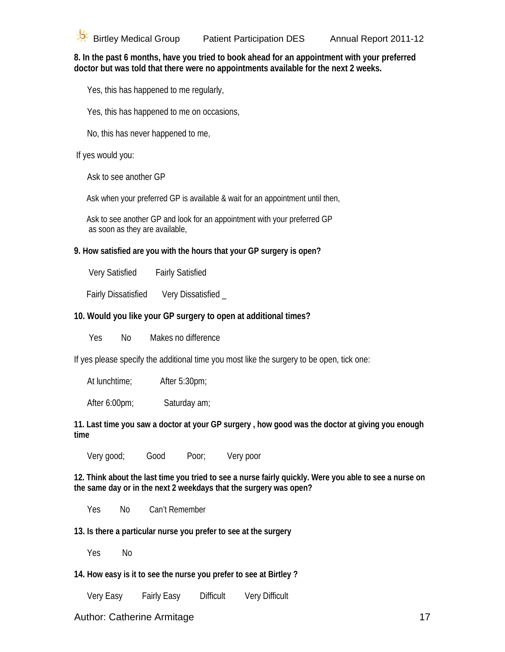**8. In the past 6 months, have you tried to book ahead for an appointment with your preferred doctor but was told that there were no appointments available for the next 2 weeks.** 

Yes, this has happened to me regularly,

Yes, this has happened to me on occasions,

No, this has never happened to me,

If yes would you:

Ask to see another GP

Ask when your preferred GP is available & wait for an appointment until then,

 Ask to see another GP and look for an appointment with your preferred GP as soon as they are available,

#### **9. How satisfied are you with the hours that your GP surgery is open?**

Very Satisfied Fairly Satisfied

Fairly Dissatisfied Very Dissatisfied \_

### **10. Would you like your GP surgery to open at additional times?**

Yes No Makes no difference

If yes please specify the additional time you most like the surgery to be open, tick one:

At lunchtime; After 5:30pm;

After 6:00pm; Saturday am;

**11. Last time you saw a doctor at your GP surgery , how good was the doctor at giving you enough time** 

Very good; Good Poor; Very poor

**12. Think about the last time you tried to see a nurse fairly quickly. Were you able to see a nurse on the same day or in the next 2 weekdays that the surgery was open?** 

Yes No Can't Remember

**13. Is there a particular nurse you prefer to see at the surgery**

Yes No

**14. How easy is it to see the nurse you prefer to see at Birtley ?**

Very Easy Fairly Easy Difficult Very Difficult

### Author: Catherine Armitage 17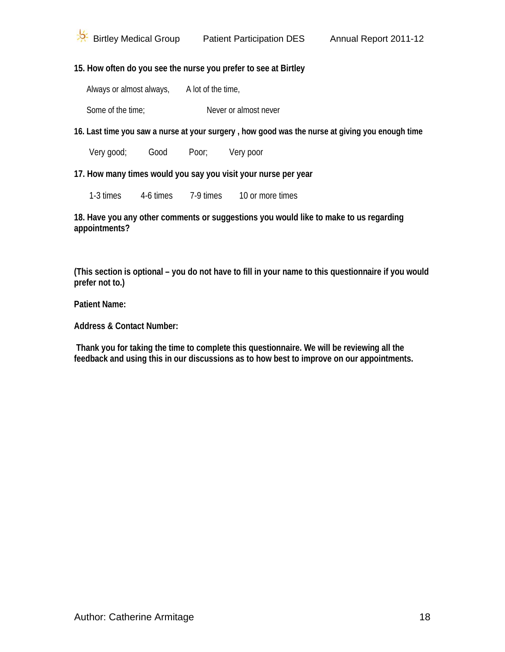### **15. How often do you see the nurse you prefer to see at Birtley**

Always or almost always, A lot of the time,

Some of the time:<br>
Never or almost never

**16. Last time you saw a nurse at your surgery , how good was the nurse at giving you enough time** 

Very good; Good Poor; Very poor

**17. How many times would you say you visit your nurse per year** 

1-3 times 4-6 times 7-9 times 10 or more times

**18. Have you any other comments or suggestions you would like to make to us regarding appointments?** 

**(This section is optional – you do not have to fill in your name to this questionnaire if you would prefer not to.)** 

**Patient Name:** 

**Address & Contact Number:** 

**Thank you for taking the time to complete this questionnaire. We will be reviewing all the feedback and using this in our discussions as to how best to improve on our appointments.**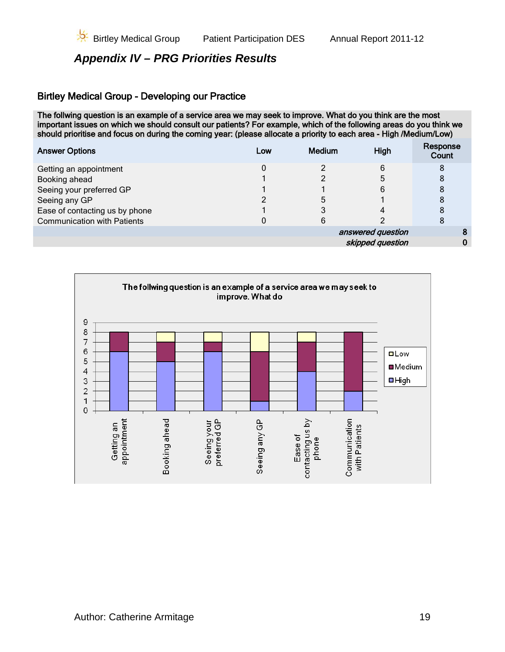## <span id="page-18-0"></span>*Appendix IV – PRG Priorities Results*

### Birtley Medical Group - Developing our Practice

The follwing question is an example of a service area we may seek to improve. What do you think are the most important issues on which we should consult our patients? For example, which of the following areas do you think we should prioritise and focus on during the coming year: (please allocate a priority to each area - High /Medium/Low)

| <b>Answer Options</b>              | Low | <b>Medium</b> | High              | Response<br>Count |
|------------------------------------|-----|---------------|-------------------|-------------------|
| Getting an appointment             |     |               | 6                 | 8                 |
| Booking ahead                      |     |               |                   | 8                 |
| Seeing your preferred GP           |     |               | 6                 |                   |
| Seeing any GP                      |     |               |                   | 8                 |
| Ease of contacting us by phone     |     |               |                   | 8                 |
| <b>Communication with Patients</b> |     |               |                   | 8                 |
|                                    |     |               | answered question |                   |
|                                    |     |               | skipped question  |                   |
|                                    |     |               |                   |                   |

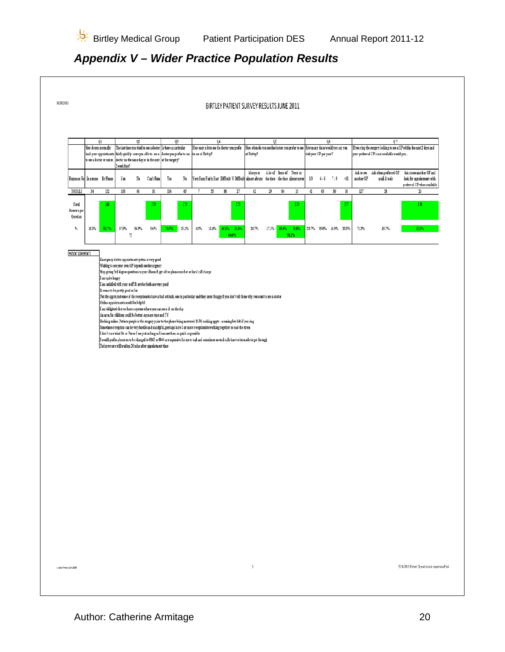# <span id="page-19-0"></span>*Appendix V – Wider Practice Population Results*

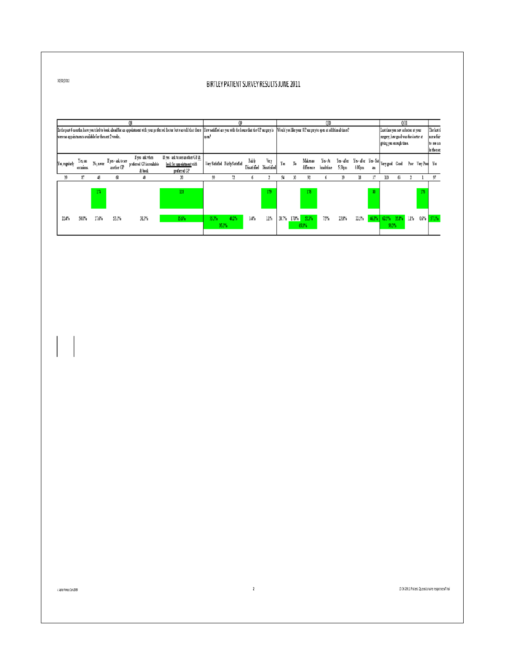#### BIRTLEY PATIENT SURVEY RESULTS JUNE 2011

|                | In the past 6 ments, have you tried to book ahead for an appointment with your preferred doctor but was tell that there lillew satisfied are you with the hours that the GP surgery is Would you like your GP surgery to open<br>were no appointments available for the next 2 weeks |  |          |                                   |                                                        |                                                                             |      | l 1982?                         |                        |                      |    |    |                            | )10              |                                                      |        |        | 0 11<br>Last time you saw a doctor at your<br>surgery, how good was the doctor at<br>giving you enough time. |    |  |                    | The last ti<br>nusefair<br>to see an<br>inthenex |
|----------------|--------------------------------------------------------------------------------------------------------------------------------------------------------------------------------------------------------------------------------------------------------------------------------------|--|----------|-----------------------------------|--------------------------------------------------------|-----------------------------------------------------------------------------|------|---------------------------------|------------------------|----------------------|----|----|----------------------------|------------------|------------------------------------------------------|--------|--------|--------------------------------------------------------------------------------------------------------------|----|--|--------------------|--------------------------------------------------|
| Yes, regularly | Yes, on<br>occasions.                                                                                                                                                                                                                                                                |  | No.never | If yes - ask to see<br>another GP | If yes ask when<br>preferred GP is available<br>& book | If yes-ask to see another GP &<br>look for appointment with<br>preferred GP |      | Very Satisfied Fairly Satisfied | Fairly<br>Dissatisfied | Very<br>Dissatisfied | Ϊs | No | Makesuo<br>difference      | Yes-At<br>hadúne | Yes-after Yes-after Yes-Sat Very good Good<br>5:30pm | 6:00pm | am     |                                                                                                              |    |  | Poor Very Pool Yes |                                                  |
| 39             | 87                                                                                                                                                                                                                                                                                   |  | 43       | 68                                | 40                                                     | 30                                                                          | 99   |                                 |                        |                      | 54 | 30 | 92                         |                  | 19                                                   | 18     | 37     | 110                                                                                                          | 63 |  |                    |                                                  |
|                |                                                                                                                                                                                                                                                                                      |  | 174      |                                   |                                                        | 18                                                                          |      |                                 |                        | $12^{\circ}$         |    |    | 156                        |                  |                                                      |        | $30-1$ |                                                                                                              |    |  | $1\%$              |                                                  |
| 22.4%          | 50.0%                                                                                                                                                                                                                                                                                |  | 27.6%    | 531%                              | 31.3%                                                  | 15.6%                                                                       | 553% | 40.2%<br>955%                   | 34%                    | 11%                  |    |    | 30.7% 17.0% 52.3%<br>69.3% | 75%              | 13.8%                                                | 2.5%   | 463%   | 62.5% 35.8% 1.1%<br>93%                                                                                      |    |  | 0.6%               | 571%                                             |

 $10/00/2012$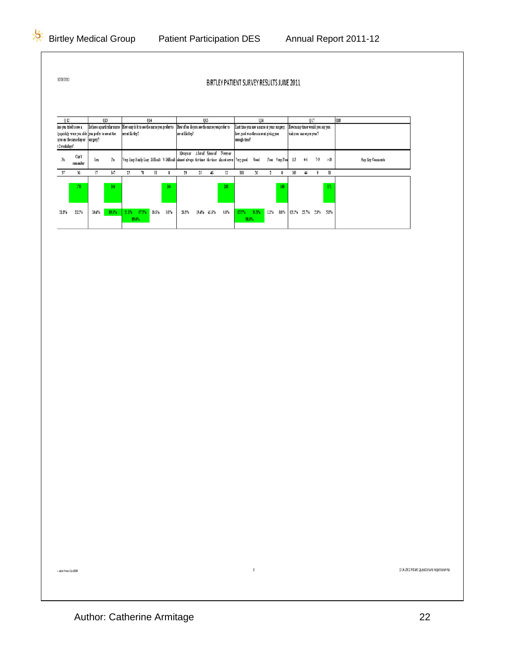10/02/2012

BIRTLEY PATIENT SURVEY RESULTS JUNE 2011

 $\mathfrak z$ 

| 012           |                                                                                         |       | O13                                                                                                                     |                |                  | 014   |      |                                                                                                    | 015         |                                    |                                                      | 016   |     |               |       | 017                              |       |     | 018              |
|---------------|-----------------------------------------------------------------------------------------|-------|-------------------------------------------------------------------------------------------------------------------------|----------------|------------------|-------|------|----------------------------------------------------------------------------------------------------|-------------|------------------------------------|------------------------------------------------------|-------|-----|---------------|-------|----------------------------------|-------|-----|------------------|
|               | ine you tried to see a                                                                  |       | [Is there a particular nurse How easy is it to see the nurse you prefer to How often do you see the nurse you prefer to |                |                  |       |      |                                                                                                    |             |                                    | Last time you saw a nurse at your surgery,           |       |     |               |       | How many times would you say you |       |     |                  |
|               | ly quickly-were you able lyou prefer to see at the<br>urse on the same day or  surgery? |       |                                                                                                                         | see at Lindey? |                  |       |      | see at Birtley?                                                                                    |             |                                    | how good was the nurse at giving you<br>enough time? |       |     |               |       | uisit your nurse per year?       |       |     |                  |
| t 2 weekdays? |                                                                                         |       |                                                                                                                         |                |                  |       |      |                                                                                                    |             |                                    |                                                      |       |     |               |       |                                  |       |     |                  |
| No            | Can't<br>renember                                                                       | Yes   | No                                                                                                                      |                |                  |       |      | Very Easy Fairly Easy Difficult V Difficult almost always the time the time almost never Very good |             | Abvays or Alot of Some of Never or |                                                      | Good  |     | Poor VeryPoor | 1.3   | 45                               | $7-9$ | >10 | Any Key Comments |
|               | 36                                                                                      |       | 147                                                                                                                     |                |                  |       |      | 29                                                                                                 | 46          | 12                                 | 110                                                  | ч     |     |               |       | 44                               |       | 10  |                  |
|               | 170                                                                                     |       | 164                                                                                                                     |                |                  |       | 104  |                                                                                                    |             | 108                                |                                                      |       |     | 168           |       |                                  |       | 171 |                  |
| 218%          | 21.2%                                                                                   | 10.4% | 89.6%                                                                                                                   | 22.1%          | 673%<br>$89.4\%$ | 10.6% | 0.0% | 26.9%                                                                                              | 19.4% 42.6% | 0.0%                               | 65%<br>98.8%                                         | 33.3% | 12% | 0.0%          | 63.2% | 25.7% 5.3%                       |       | 58% |                  |

13 06 2011 Patient Questionaire responsen#inal

 $\label{eq:G2} \epsilon A\phi\bar{a}\phi\bar{a}\gamma\bar{a}\alpha\bar{a}\gamma\bar{c}\alpha\epsilon Z\bar{a}\theta$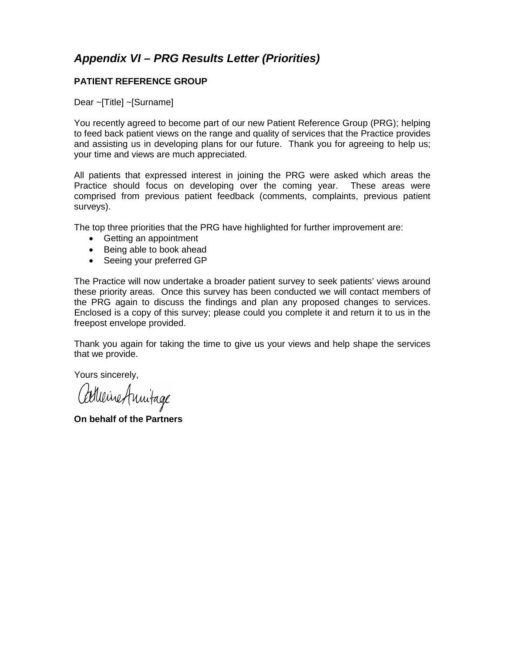## <span id="page-22-0"></span>*Appendix VI – PRG Results Letter (Priorities)*

#### **PATIENT REFERENCE GROUP**

Dear ~[Title] ~[Surname]

You recently agreed to become part of our new Patient Reference Group (PRG); helping to feed back patient views on the range and quality of services that the Practice provides and assisting us in developing plans for our future. Thank you for agreeing to help us; your time and views are much appreciated.

All patients that expressed interest in joining the PRG were asked which areas the Practice should focus on developing over the coming year. These areas were comprised from previous patient feedback (comments, complaints, previous patient surveys).

The top three priorities that the PRG have highlighted for further improvement are:

- Getting an appointment
- Being able to book ahead
- Seeing your preferred GP

The Practice will now undertake a broader patient survey to seek patients' views around these priority areas. Once this survey has been conducted we will contact members of the PRG again to discuss the findings and plan any proposed changes to services. Enclosed is a copy of this survey; please could you complete it and return it to us in the freepost envelope provided.

Thank you again for taking the time to give us your views and help shape the services that we provide.

Yours sincerely,

Adheine Annitage

**On behalf of the Partners**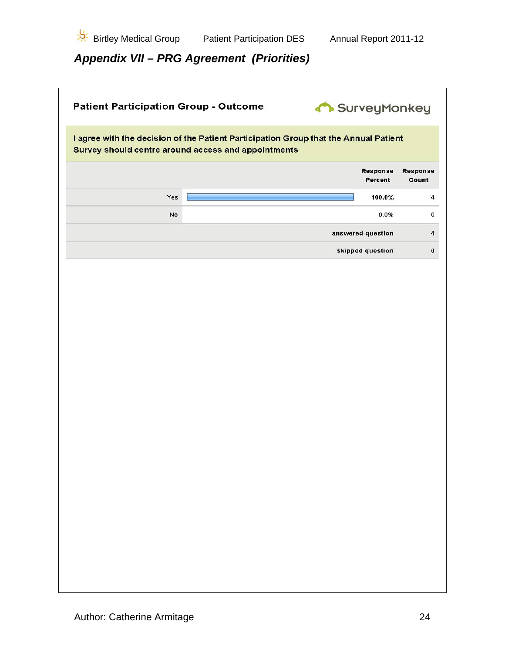

<span id="page-23-0"></span>*Appendix VII – PRG Agreement (Priorities)*

| <b>Patient Participation Group - Outcome</b>        | SurveyMonkey                                                                         |                          |
|-----------------------------------------------------|--------------------------------------------------------------------------------------|--------------------------|
| Survey should centre around access and appointments | I agree with the decision of the Patient Participation Group that the Annual Patient |                          |
|                                                     | <b>Response</b><br>Percent                                                           | <b>Response</b><br>Count |
| Yes                                                 | 100.0%                                                                               | $\overline{\mathbf{4}}$  |
| No                                                  | 0.0%                                                                                 | 0                        |
|                                                     | answered question                                                                    | $\ddot{\phantom{a}}$     |
|                                                     | skipped question                                                                     | $\pmb{0}$                |
|                                                     |                                                                                      |                          |
|                                                     |                                                                                      |                          |
|                                                     |                                                                                      |                          |
|                                                     |                                                                                      |                          |
|                                                     |                                                                                      |                          |
|                                                     |                                                                                      |                          |
|                                                     |                                                                                      |                          |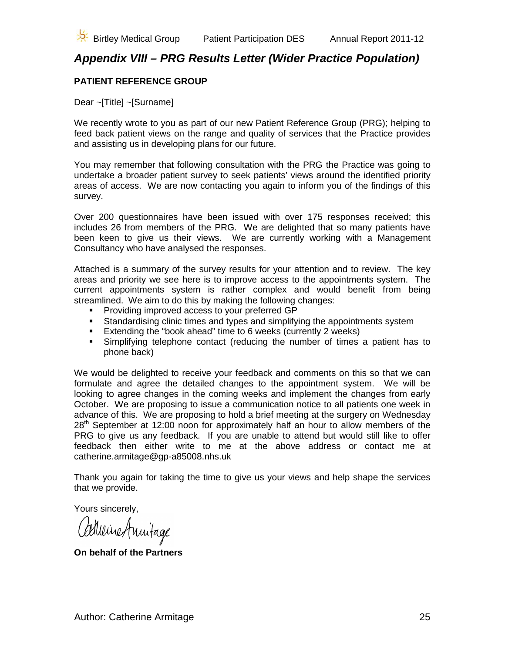## <span id="page-24-0"></span>*Appendix VIII – PRG Results Letter (Wider Practice Population)*

#### **PATIENT REFERENCE GROUP**

Dear ~[Title] ~[Surname]

We recently wrote to you as part of our new Patient Reference Group (PRG); helping to feed back patient views on the range and quality of services that the Practice provides and assisting us in developing plans for our future.

You may remember that following consultation with the PRG the Practice was going to undertake a broader patient survey to seek patients' views around the identified priority areas of access. We are now contacting you again to inform you of the findings of this survey.

Over 200 questionnaires have been issued with over 175 responses received; this includes 26 from members of the PRG. We are delighted that so many patients have been keen to give us their views. We are currently working with a Management Consultancy who have analysed the responses.

Attached is a summary of the survey results for your attention and to review. The key areas and priority we see here is to improve access to the appointments system. The current appointments system is rather complex and would benefit from being streamlined. We aim to do this by making the following changes:

- **Providing improved access to your preferred GP**
- **Standardising clinic times and types and simplifying the appointments system**
- **Extending the "book ahead" time to 6 weeks (currently 2 weeks)**
- Simplifying telephone contact (reducing the number of times a patient has to phone back)

We would be delighted to receive your feedback and comments on this so that we can formulate and agree the detailed changes to the appointment system. We will be looking to agree changes in the coming weeks and implement the changes from early October. We are proposing to issue a communication notice to all patients one week in advance of this. We are proposing to hold a brief meeting at the surgery on Wednesday 28<sup>th</sup> September at 12:00 noon for approximately half an hour to allow members of the PRG to give us any feedback. If you are unable to attend but would still like to offer feedback then either write to me at the above address or contact me at catherine.armitage@gp-a85008.nhs.uk

Thank you again for taking the time to give us your views and help shape the services that we provide.

Yours sincerely,

Cartueine Annitage

**On behalf of the Partners**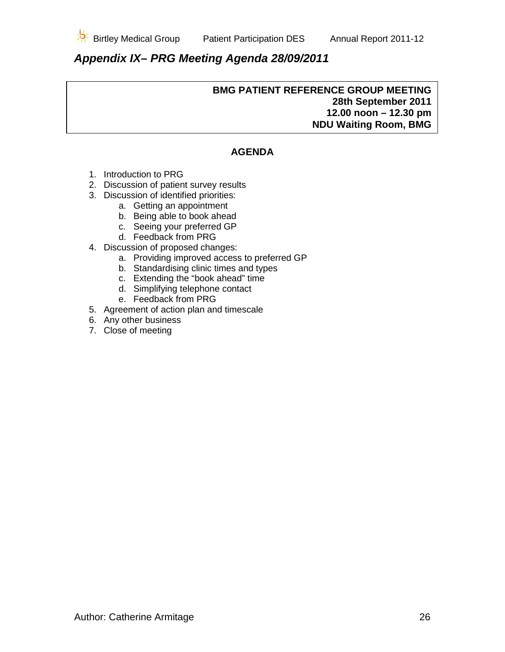

# <span id="page-25-0"></span>*Appendix IX– PRG Meeting Agenda 28/09/2011*

#### **BMG PATIENT REFERENCE GROUP MEETING 28th September 2011 12.00 noon – 12.30 pm NDU Waiting Room, BMG**

### **AGENDA**

- 1. Introduction to PRG
- 2. Discussion of patient survey results
- 3. Discussion of identified priorities:
	- a. Getting an appointment
	- b. Being able to book ahead
	- c. Seeing your preferred GP
	- d. Feedback from PRG
- 4. Discussion of proposed changes:
	- a. Providing improved access to preferred GP
	- b. Standardising clinic times and types
	- c. Extending the "book ahead" time
	- d. Simplifying telephone contact
	- e. Feedback from PRG
- 5. Agreement of action plan and timescale
- 6. Any other business
- 7. Close of meeting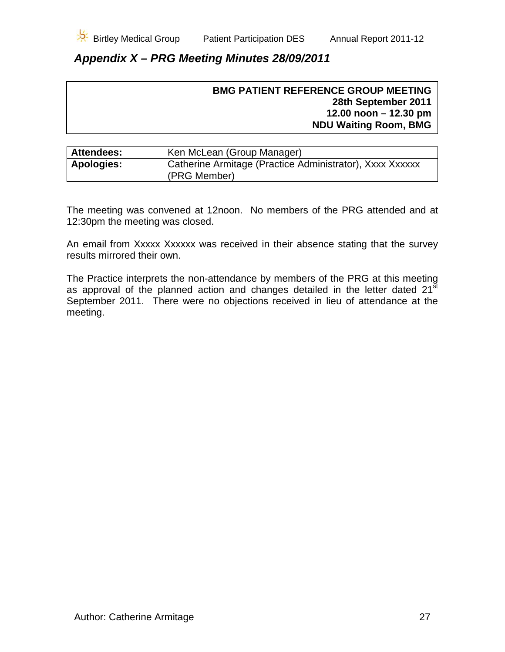## <span id="page-26-0"></span>*Appendix X – PRG Meeting Minutes 28/09/2011*

| <b>BMG PATIENT REFERENCE GROUP MEETING</b> |
|--------------------------------------------|
| 28th September 2011                        |
| 12.00 noon $-12.30$ pm                     |
| <b>NDU Waiting Room, BMG</b>               |
|                                            |

| <b>Attendees:</b> | Ken McLean (Group Manager)                               |
|-------------------|----------------------------------------------------------|
| <b>Apologies:</b> | Catherine Armitage (Practice Administrator), Xxxx Xxxxxx |
|                   | (PRG Member)                                             |

The meeting was convened at 12noon. No members of the PRG attended and at 12:30pm the meeting was closed.

An email from Xxxxx Xxxxxx was received in their absence stating that the survey results mirrored their own.

The Practice interprets the non-attendance by members of the PRG at this meeting as approval of the planned action and changes detailed in the letter dated 21<sup>st</sup> September 2011. There were no objections received in lieu of attendance at the meeting.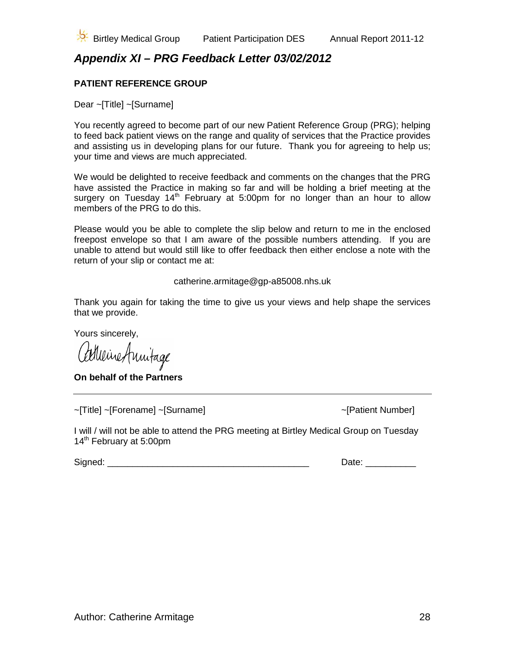

# <span id="page-27-0"></span>*Appendix XI – PRG Feedback Letter 03/02/2012*

### **PATIENT REFERENCE GROUP**

Dear ~[Title] ~[Surname]

You recently agreed to become part of our new Patient Reference Group (PRG); helping to feed back patient views on the range and quality of services that the Practice provides and assisting us in developing plans for our future. Thank you for agreeing to help us; your time and views are much appreciated.

We would be delighted to receive feedback and comments on the changes that the PRG have assisted the Practice in making so far and will be holding a brief meeting at the surgery on Tuesday  $14<sup>th</sup>$  February at 5:00pm for no longer than an hour to allow members of the PRG to do this.

Please would you be able to complete the slip below and return to me in the enclosed freepost envelope so that I am aware of the possible numbers attending. If you are unable to attend but would still like to offer feedback then either enclose a note with the return of your slip or contact me at:

catherine.armitage@gp-a85008.nhs.uk

Thank you again for taking the time to give us your views and help shape the services that we provide.

Yours sincerely,

Calleine Annitage

**On behalf of the Partners**

~[Title] ~[Forename] ~[Surname] ~[Patient Number]

I will / will not be able to attend the PRG meeting at Birtley Medical Group on Tuesday 14<sup>th</sup> February at 5:00pm

Signed: \_\_\_\_\_\_\_\_\_\_\_\_\_\_\_\_\_\_\_\_\_\_\_\_\_\_\_\_\_\_\_\_\_\_\_\_\_\_\_\_ Date: \_\_\_\_\_\_\_\_\_\_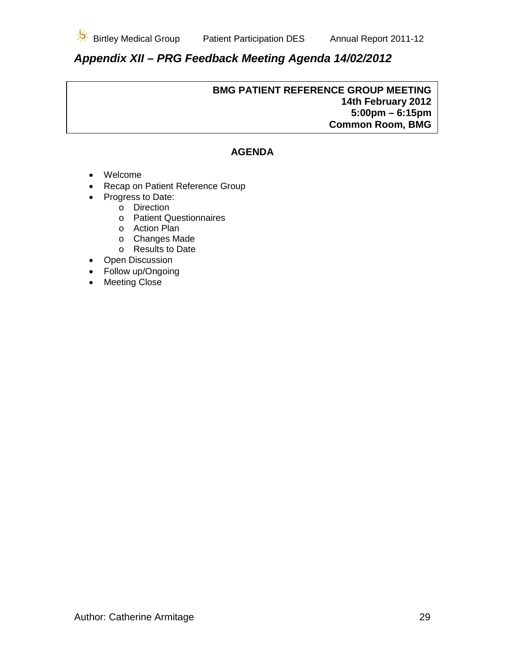

# <span id="page-28-0"></span>*Appendix XII – PRG Feedback Meeting Agenda 14/02/2012*

#### **BMG PATIENT REFERENCE GROUP MEETING 14th February 2012 5:00pm – 6:15pm Common Room, BMG**

### **AGENDA**

- Welcome
- Recap on Patient Reference Group
- Progress to Date:
	- o Direction
	- o Patient Questionnaires
	- o Action Plan
	- o Changes Made
	- o Results to Date
- Open Discussion
- Follow up/Ongoing
- Meeting Close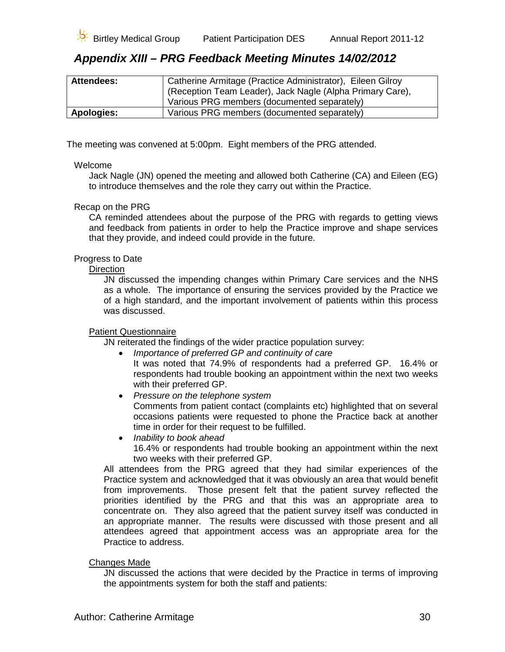

### <span id="page-29-0"></span>*Appendix XIII – PRG Feedback Meeting Minutes 14/02/2012*

| <b>Attendees:</b> | Catherine Armitage (Practice Administrator), Eileen Gilroy |
|-------------------|------------------------------------------------------------|
|                   | (Reception Team Leader), Jack Nagle (Alpha Primary Care),  |
|                   | Various PRG members (documented separately)                |
| <b>Apologies:</b> | Various PRG members (documented separately)                |

The meeting was convened at 5:00pm. Eight members of the PRG attended.

#### Welcome

Jack Nagle (JN) opened the meeting and allowed both Catherine (CA) and Eileen (EG) to introduce themselves and the role they carry out within the Practice.

#### Recap on the PRG

CA reminded attendees about the purpose of the PRG with regards to getting views and feedback from patients in order to help the Practice improve and shape services that they provide, and indeed could provide in the future.

#### Progress to Date

**Direction** 

JN discussed the impending changes within Primary Care services and the NHS as a whole. The importance of ensuring the services provided by the Practice we of a high standard, and the important involvement of patients within this process was discussed.

#### Patient Questionnaire

JN reiterated the findings of the wider practice population survey:

- *Importance of preferred GP and continuity of care* It was noted that 74.9% of respondents had a preferred GP. 16.4% or respondents had trouble booking an appointment within the next two weeks with their preferred GP.
- *Pressure on the telephone system* Comments from patient contact (complaints etc) highlighted that on several occasions patients were requested to phone the Practice back at another time in order for their request to be fulfilled.
- *Inability to book ahead* 16.4% or respondents had trouble booking an appointment within the next two weeks with their preferred GP.

All attendees from the PRG agreed that they had similar experiences of the Practice system and acknowledged that it was obviously an area that would benefit from improvements. Those present felt that the patient survey reflected the priorities identified by the PRG and that this was an appropriate area to concentrate on. They also agreed that the patient survey itself was conducted in an appropriate manner. The results were discussed with those present and all attendees agreed that appointment access was an appropriate area for the Practice to address.

#### Changes Made

JN discussed the actions that were decided by the Practice in terms of improving the appointments system for both the staff and patients: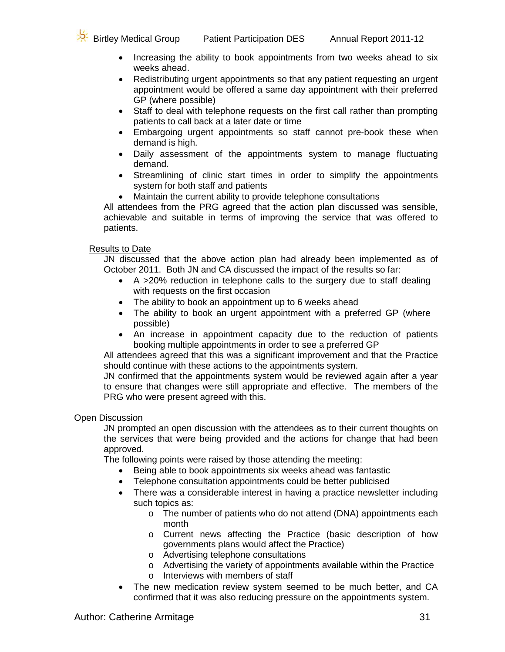

- Increasing the ability to book appointments from two weeks ahead to six weeks ahead.
- Redistributing urgent appointments so that any patient requesting an urgent appointment would be offered a same day appointment with their preferred GP (where possible)
- Staff to deal with telephone requests on the first call rather than prompting patients to call back at a later date or time
- Embargoing urgent appointments so staff cannot pre-book these when demand is high.
- Daily assessment of the appointments system to manage fluctuating demand.
- Streamlining of clinic start times in order to simplify the appointments system for both staff and patients
- Maintain the current ability to provide telephone consultations

All attendees from the PRG agreed that the action plan discussed was sensible, achievable and suitable in terms of improving the service that was offered to patients.

#### Results to Date

JN discussed that the above action plan had already been implemented as of October 2011. Both JN and CA discussed the impact of the results so far:

- A >20% reduction in telephone calls to the surgery due to staff dealing with requests on the first occasion
- The ability to book an appointment up to 6 weeks ahead
- The ability to book an urgent appointment with a preferred GP (where possible)
- An increase in appointment capacity due to the reduction of patients booking multiple appointments in order to see a preferred GP

All attendees agreed that this was a significant improvement and that the Practice should continue with these actions to the appointments system.

JN confirmed that the appointments system would be reviewed again after a year to ensure that changes were still appropriate and effective. The members of the PRG who were present agreed with this.

#### Open Discussion

JN prompted an open discussion with the attendees as to their current thoughts on the services that were being provided and the actions for change that had been approved.

The following points were raised by those attending the meeting:

- Being able to book appointments six weeks ahead was fantastic
- Telephone consultation appointments could be better publicised
- There was a considerable interest in having a practice newsletter including such topics as:
	- o The number of patients who do not attend (DNA) appointments each month
	- o Current news affecting the Practice (basic description of how governments plans would affect the Practice)
	- o Advertising telephone consultations
	- o Advertising the variety of appointments available within the Practice
	- o Interviews with members of staff
- The new medication review system seemed to be much better, and CA confirmed that it was also reducing pressure on the appointments system.